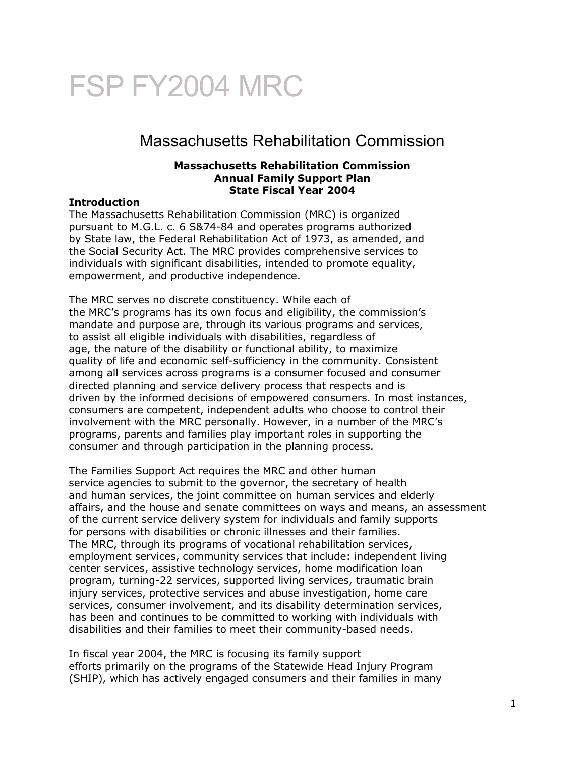# FSP FY2004 MRC

# Massachusetts Rehabilitation Commission

#### **Massachusetts Rehabilitation Commission Annual Family Support Plan State Fiscal Year 2004**

#### **Introduction**

The Massachusetts Rehabilitation Commission (MRC) is organized pursuant to M.G.L. c. 6 S&74-84 and operates programs authorized by State law, the Federal Rehabilitation Act of 1973, as amended, and the Social Security Act. The MRC provides comprehensive services to individuals with significant disabilities, intended to promote equality, empowerment, and productive independence.

The MRC serves no discrete constituency. While each of the MRC's programs has its own focus and eligibility, the commission's mandate and purpose are, through its various programs and services, to assist all eligible individuals with disabilities, regardless of age, the nature of the disability or functional ability, to maximize quality of life and economic self-sufficiency in the community. Consistent among all services across programs is a consumer focused and consumer directed planning and service delivery process that respects and is driven by the informed decisions of empowered consumers. In most instances, consumers are competent, independent adults who choose to control their involvement with the MRC personally. However, in a number of the MRC's programs, parents and families play important roles in supporting the consumer and through participation in the planning process.

The Families Support Act requires the MRC and other human service agencies to submit to the governor, the secretary of health and human services, the joint committee on human services and elderly affairs, and the house and senate committees on ways and means, an assessment of the current service delivery system for individuals and family supports for persons with disabilities or chronic illnesses and their families. The MRC, through its programs of vocational rehabilitation services, employment services, community services that include: independent living center services, assistive technology services, home modification loan program, turning-22 services, supported living services, traumatic brain injury services, protective services and abuse investigation, home care services, consumer involvement, and its disability determination services, has been and continues to be committed to working with individuals with disabilities and their families to meet their community-based needs.

In fiscal year 2004, the MRC is focusing its family support efforts primarily on the programs of the Statewide Head Injury Program (SHIP), which has actively engaged consumers and their families in many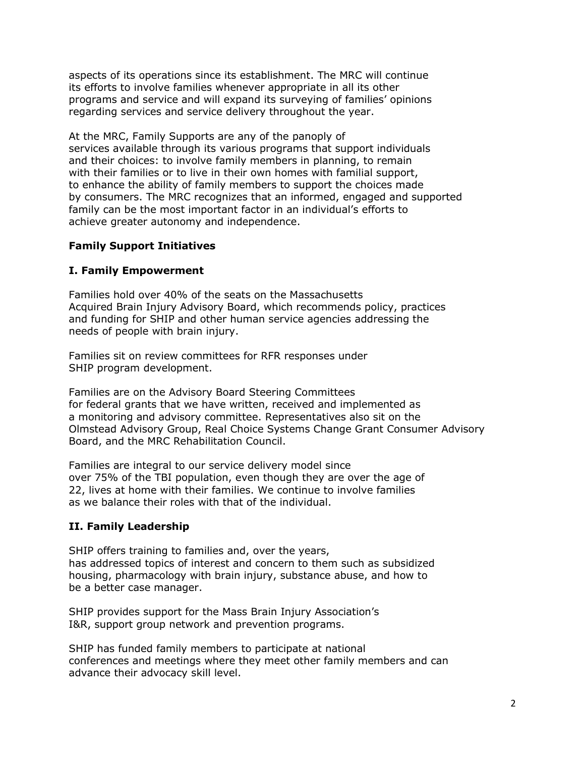aspects of its operations since its establishment. The MRC will continue its efforts to involve families whenever appropriate in all its other programs and service and will expand its surveying of families' opinions regarding services and service delivery throughout the year.

At the MRC, Family Supports are any of the panoply of services available through its various programs that support individuals and their choices: to involve family members in planning, to remain with their families or to live in their own homes with familial support, to enhance the ability of family members to support the choices made by consumers. The MRC recognizes that an informed, engaged and supported family can be the most important factor in an individual's efforts to achieve greater autonomy and independence.

# **Family Support Initiatives**

# **I. Family Empowerment**

Families hold over 40% of the seats on the Massachusetts Acquired Brain Injury Advisory Board, which recommends policy, practices and funding for SHIP and other human service agencies addressing the needs of people with brain injury.

Families sit on review committees for RFR responses under SHIP program development.

Families are on the Advisory Board Steering Committees for federal grants that we have written, received and implemented as a monitoring and advisory committee. Representatives also sit on the Olmstead Advisory Group, Real Choice Systems Change Grant Consumer Advisory Board, and the MRC Rehabilitation Council.

Families are integral to our service delivery model since over 75% of the TBI population, even though they are over the age of 22, lives at home with their families. We continue to involve families as we balance their roles with that of the individual.

# **II. Family Leadership**

SHIP offers training to families and, over the years, has addressed topics of interest and concern to them such as subsidized housing, pharmacology with brain injury, substance abuse, and how to be a better case manager.

SHIP provides support for the Mass Brain Injury Association's I&R, support group network and prevention programs.

SHIP has funded family members to participate at national conferences and meetings where they meet other family members and can advance their advocacy skill level.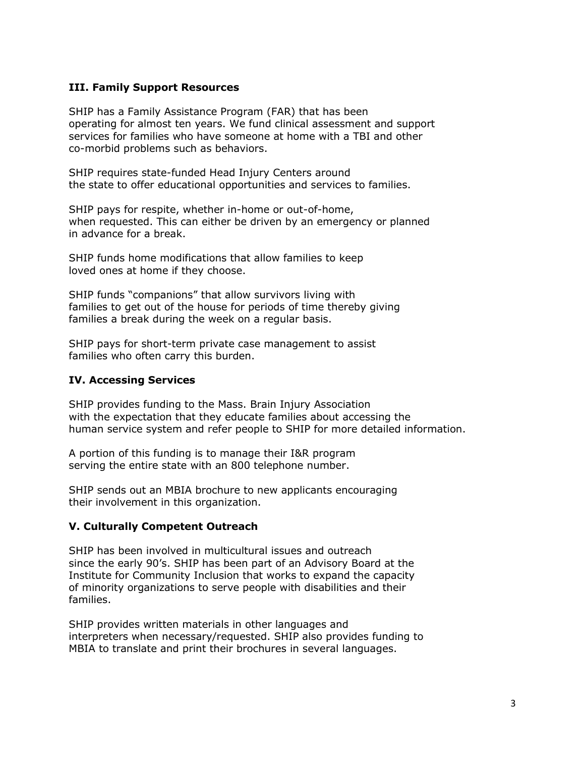#### **III. Family Support Resources**

SHIP has a Family Assistance Program (FAR) that has been operating for almost ten years. We fund clinical assessment and support services for families who have someone at home with a TBI and other co-morbid problems such as behaviors.

SHIP requires state-funded Head Injury Centers around the state to offer educational opportunities and services to families.

SHIP pays for respite, whether in-home or out-of-home, when requested. This can either be driven by an emergency or planned in advance for a break.

SHIP funds home modifications that allow families to keep loved ones at home if they choose.

SHIP funds "companions" that allow survivors living with families to get out of the house for periods of time thereby giving families a break during the week on a regular basis.

SHIP pays for short-term private case management to assist families who often carry this burden.

#### **IV. Accessing Services**

SHIP provides funding to the Mass. Brain Injury Association with the expectation that they educate families about accessing the human service system and refer people to SHIP for more detailed information.

A portion of this funding is to manage their I&R program serving the entire state with an 800 telephone number.

SHIP sends out an MBIA brochure to new applicants encouraging their involvement in this organization.

#### **V. Culturally Competent Outreach**

SHIP has been involved in multicultural issues and outreach since the early 90's. SHIP has been part of an Advisory Board at the Institute for Community Inclusion that works to expand the capacity of minority organizations to serve people with disabilities and their families.

SHIP provides written materials in other languages and interpreters when necessary/requested. SHIP also provides funding to MBIA to translate and print their brochures in several languages.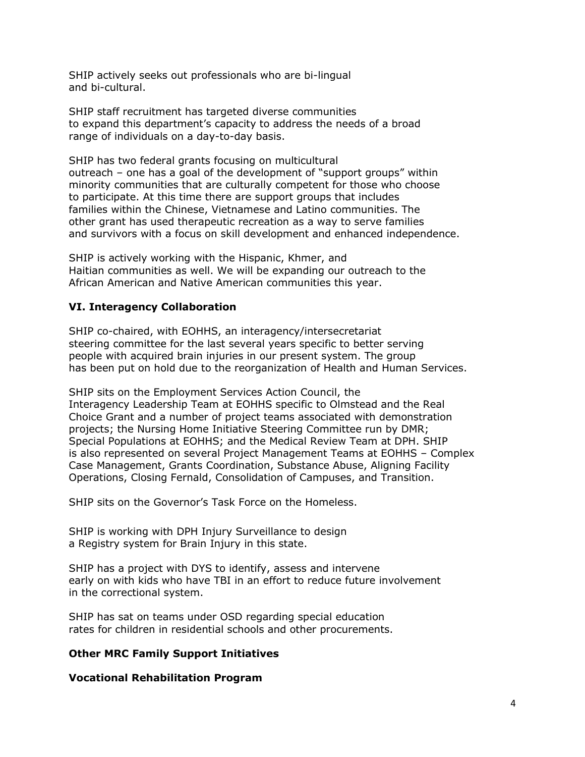SHIP actively seeks out professionals who are bi-lingual and bi-cultural.

SHIP staff recruitment has targeted diverse communities to expand this department's capacity to address the needs of a broad range of individuals on a day-to-day basis.

SHIP has two federal grants focusing on multicultural outreach – one has a goal of the development of "support groups" within minority communities that are culturally competent for those who choose to participate. At this time there are support groups that includes families within the Chinese, Vietnamese and Latino communities. The other grant has used therapeutic recreation as a way to serve families and survivors with a focus on skill development and enhanced independence.

SHIP is actively working with the Hispanic, Khmer, and Haitian communities as well. We will be expanding our outreach to the African American and Native American communities this year.

# **VI. Interagency Collaboration**

SHIP co-chaired, with EOHHS, an interagency/intersecretariat steering committee for the last several years specific to better serving people with acquired brain injuries in our present system. The group has been put on hold due to the reorganization of Health and Human Services.

SHIP sits on the Employment Services Action Council, the Interagency Leadership Team at EOHHS specific to Olmstead and the Real Choice Grant and a number of project teams associated with demonstration projects; the Nursing Home Initiative Steering Committee run by DMR; Special Populations at EOHHS; and the Medical Review Team at DPH. SHIP is also represented on several Project Management Teams at EOHHS – Complex Case Management, Grants Coordination, Substance Abuse, Aligning Facility Operations, Closing Fernald, Consolidation of Campuses, and Transition.

SHIP sits on the Governor's Task Force on the Homeless.

SHIP is working with DPH Injury Surveillance to design a Registry system for Brain Injury in this state.

SHIP has a project with DYS to identify, assess and intervene early on with kids who have TBI in an effort to reduce future involvement in the correctional system.

SHIP has sat on teams under OSD regarding special education rates for children in residential schools and other procurements.

#### **Other MRC Family Support Initiatives**

**Vocational Rehabilitation Program**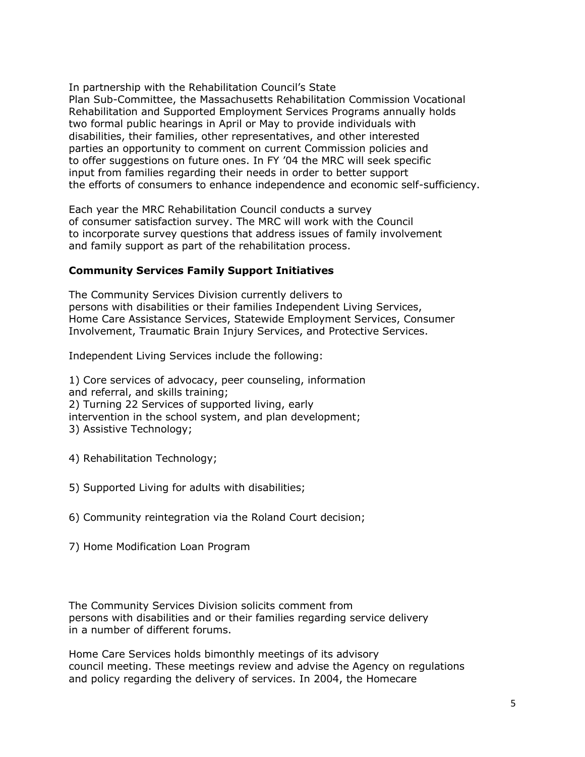In partnership with the Rehabilitation Council's State Plan Sub-Committee, the Massachusetts Rehabilitation Commission Vocational Rehabilitation and Supported Employment Services Programs annually holds two formal public hearings in April or May to provide individuals with disabilities, their families, other representatives, and other interested parties an opportunity to comment on current Commission policies and to offer suggestions on future ones. In FY '04 the MRC will seek specific input from families regarding their needs in order to better support the efforts of consumers to enhance independence and economic self-sufficiency.

Each year the MRC Rehabilitation Council conducts a survey of consumer satisfaction survey. The MRC will work with the Council to incorporate survey questions that address issues of family involvement and family support as part of the rehabilitation process.

# **Community Services Family Support Initiatives**

The Community Services Division currently delivers to persons with disabilities or their families Independent Living Services, Home Care Assistance Services, Statewide Employment Services, Consumer Involvement, Traumatic Brain Injury Services, and Protective Services.

Independent Living Services include the following:

1) Core services of advocacy, peer counseling, information and referral, and skills training; 2) Turning 22 Services of supported living, early intervention in the school system, and plan development; 3) Assistive Technology;

- 4) Rehabilitation Technology;
- 5) Supported Living for adults with disabilities;
- 6) Community reintegration via the Roland Court decision;
- 7) Home Modification Loan Program

The Community Services Division solicits comment from persons with disabilities and or their families regarding service delivery in a number of different forums.

Home Care Services holds bimonthly meetings of its advisory council meeting. These meetings review and advise the Agency on regulations and policy regarding the delivery of services. In 2004, the Homecare